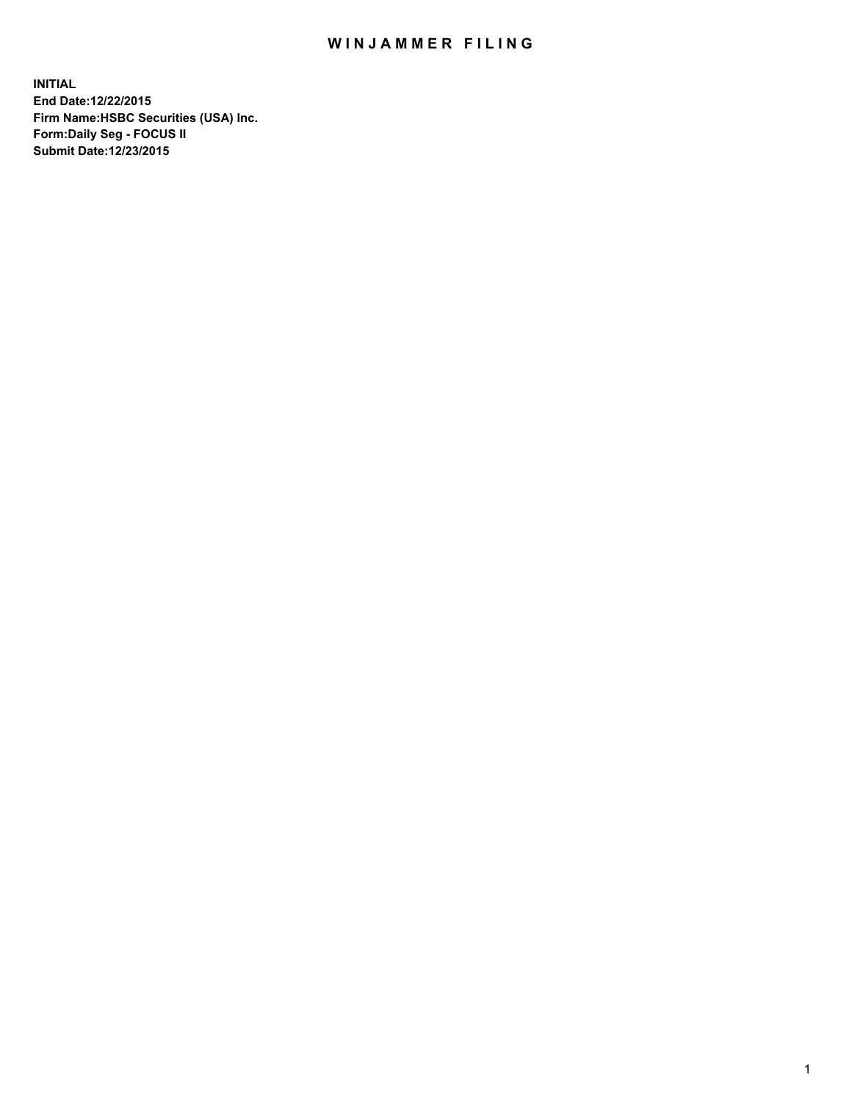## WIN JAMMER FILING

**INITIAL End Date:12/22/2015 Firm Name:HSBC Securities (USA) Inc. Form:Daily Seg - FOCUS II Submit Date:12/23/2015**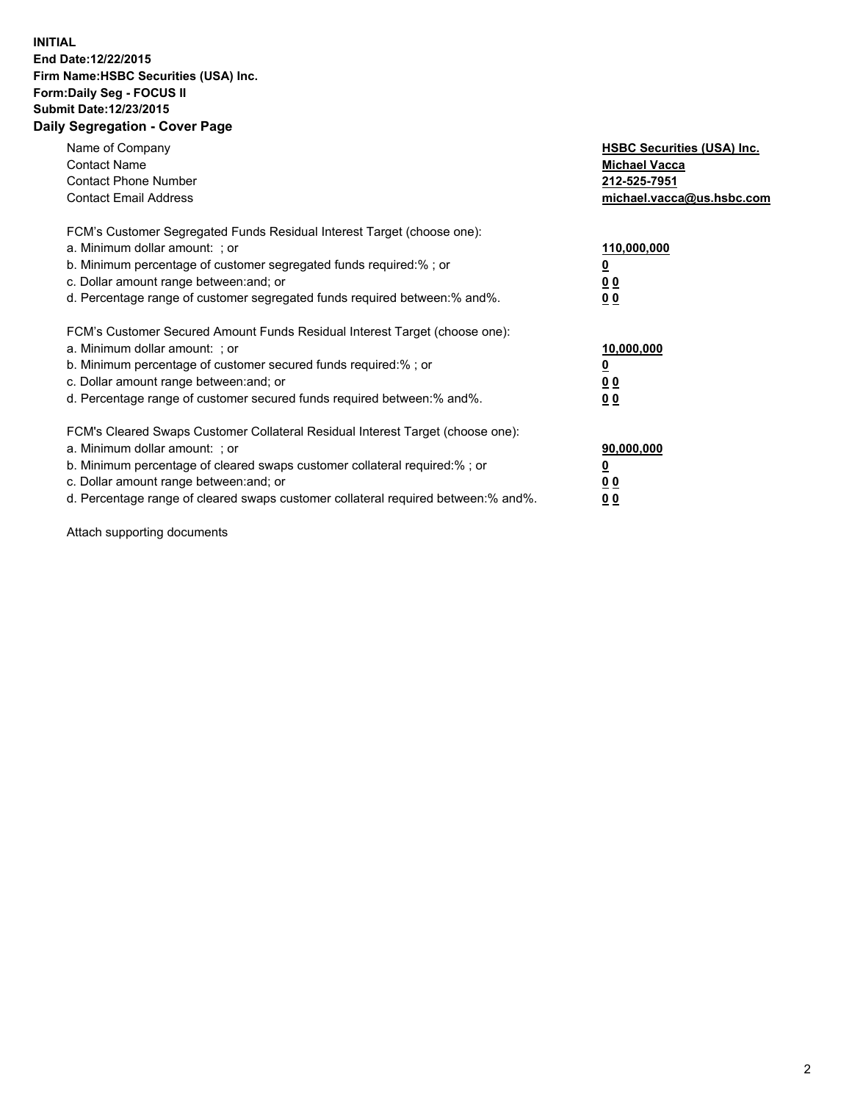## **INITIAL End Date:12/22/2015 Firm Name:HSBC Securities (USA) Inc. Form:Daily Seg - FOCUS II Submit Date:12/23/2015 Daily Segregation - Cover Page**

| Name of Company<br><b>Contact Name</b><br><b>Contact Phone Number</b><br><b>Contact Email Address</b>                                                                                                                                                                                                                         | <b>HSBC Securities (USA) Inc.</b><br><b>Michael Vacca</b><br>212-525-7951<br>michael.vacca@us.hsbc.com |
|-------------------------------------------------------------------------------------------------------------------------------------------------------------------------------------------------------------------------------------------------------------------------------------------------------------------------------|--------------------------------------------------------------------------------------------------------|
| FCM's Customer Segregated Funds Residual Interest Target (choose one):<br>a. Minimum dollar amount: ; or<br>b. Minimum percentage of customer segregated funds required:% ; or<br>c. Dollar amount range between: and; or<br>d. Percentage range of customer segregated funds required between:% and%.                        | 110,000,000<br><u>0</u><br><u>00</u><br>00                                                             |
| FCM's Customer Secured Amount Funds Residual Interest Target (choose one):<br>a. Minimum dollar amount: ; or<br>b. Minimum percentage of customer secured funds required:%; or<br>c. Dollar amount range between: and; or<br>d. Percentage range of customer secured funds required between:% and%.                           | 10,000,000<br><u>0</u><br><u>00</u><br>0 <sub>0</sub>                                                  |
| FCM's Cleared Swaps Customer Collateral Residual Interest Target (choose one):<br>a. Minimum dollar amount: ; or<br>b. Minimum percentage of cleared swaps customer collateral required:%; or<br>c. Dollar amount range between: and; or<br>d. Percentage range of cleared swaps customer collateral required between:% and%. | 90,000,000<br><u>00</u><br><u>00</u>                                                                   |

Attach supporting documents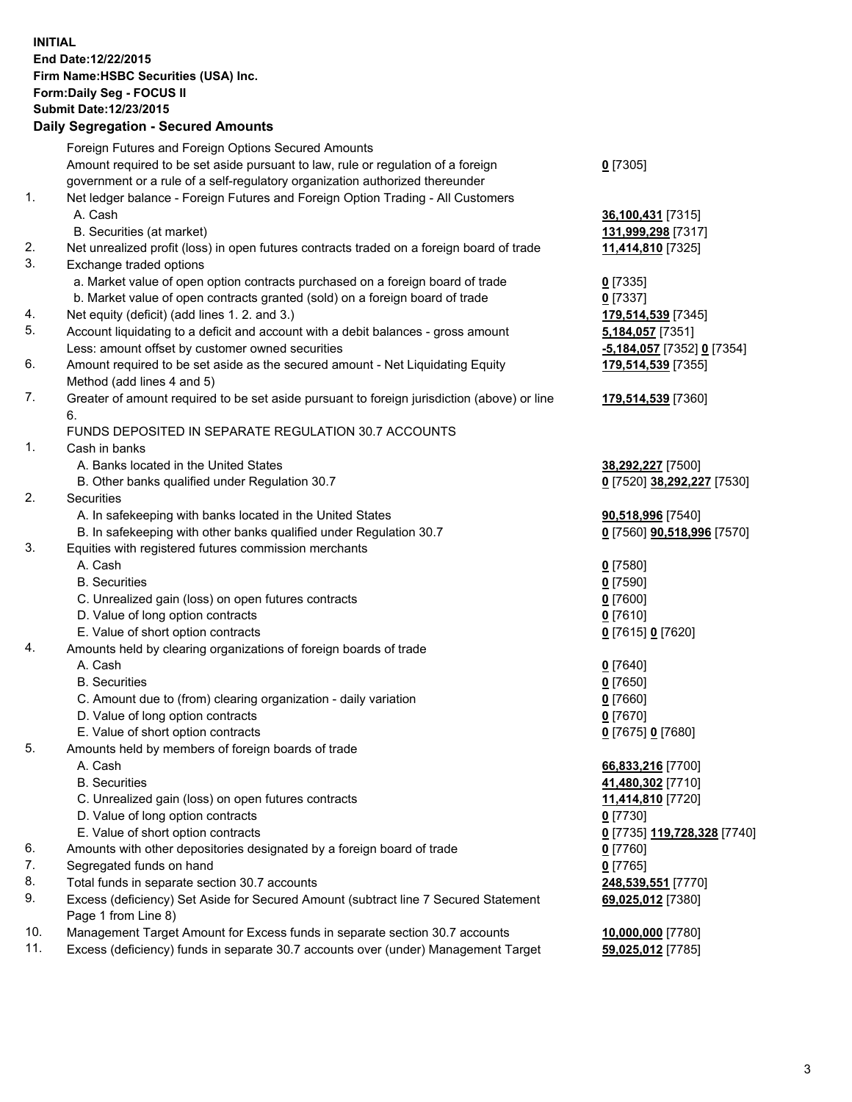**INITIAL End Date:12/22/2015 Firm Name:HSBC Securities (USA) Inc. Form:Daily Seg - FOCUS II Submit Date:12/23/2015**

## **Daily Segregation - Secured Amounts**

|     | Foreign Futures and Foreign Options Secured Amounts                                         |                                   |
|-----|---------------------------------------------------------------------------------------------|-----------------------------------|
|     | Amount required to be set aside pursuant to law, rule or regulation of a foreign            | $0$ [7305]                        |
|     | government or a rule of a self-regulatory organization authorized thereunder                |                                   |
| 1.  | Net ledger balance - Foreign Futures and Foreign Option Trading - All Customers             |                                   |
|     | A. Cash                                                                                     | 36,100,431 [7315]                 |
|     | B. Securities (at market)                                                                   | 131,999,298 [7317]                |
| 2.  | Net unrealized profit (loss) in open futures contracts traded on a foreign board of trade   | 11,414,810 [7325]                 |
| 3.  | Exchange traded options                                                                     |                                   |
|     | a. Market value of open option contracts purchased on a foreign board of trade              | $0$ [7335]                        |
|     | b. Market value of open contracts granted (sold) on a foreign board of trade                | $0$ [7337]                        |
| 4.  | Net equity (deficit) (add lines 1.2. and 3.)                                                | 179,514,539 [7345]                |
| 5.  | Account liquidating to a deficit and account with a debit balances - gross amount           | 5,184,057 [7351]                  |
|     | Less: amount offset by customer owned securities                                            | -5,184,057 [7352] 0 [7354]        |
| 6.  | Amount required to be set aside as the secured amount - Net Liquidating Equity              | 179,514,539 [7355]                |
|     | Method (add lines 4 and 5)                                                                  |                                   |
| 7.  | Greater of amount required to be set aside pursuant to foreign jurisdiction (above) or line | 179,514,539 [7360]                |
|     | 6.                                                                                          |                                   |
|     | FUNDS DEPOSITED IN SEPARATE REGULATION 30.7 ACCOUNTS                                        |                                   |
| 1.  | Cash in banks                                                                               |                                   |
|     | A. Banks located in the United States                                                       | 38,292,227 [7500]                 |
|     | B. Other banks qualified under Regulation 30.7                                              | 0 [7520] 38,292,227 [7530]        |
| 2.  | Securities                                                                                  |                                   |
|     | A. In safekeeping with banks located in the United States                                   | 90,518,996 [7540]                 |
|     | B. In safekeeping with other banks qualified under Regulation 30.7                          | 0 [7560] <b>90,518,996</b> [7570] |
| 3.  | Equities with registered futures commission merchants                                       |                                   |
|     | A. Cash                                                                                     | $0$ [7580]                        |
|     | <b>B.</b> Securities                                                                        | $0$ [7590]                        |
|     | C. Unrealized gain (loss) on open futures contracts                                         | $0$ [7600]                        |
|     | D. Value of long option contracts                                                           | $0$ [7610]                        |
|     | E. Value of short option contracts                                                          | 0 [7615] 0 [7620]                 |
| 4.  | Amounts held by clearing organizations of foreign boards of trade                           |                                   |
|     | A. Cash                                                                                     | $0$ [7640]                        |
|     | <b>B.</b> Securities                                                                        | $0$ [7650]                        |
|     | C. Amount due to (from) clearing organization - daily variation                             | $0$ [7660]                        |
|     | D. Value of long option contracts                                                           | 0 [7670]                          |
|     | E. Value of short option contracts                                                          | 0 [7675] 0 [7680]                 |
| 5.  | Amounts held by members of foreign boards of trade                                          |                                   |
|     | A. Cash                                                                                     | 66,833,216 [7700]                 |
|     | <b>B.</b> Securities                                                                        | 41,480,302 [7710]                 |
|     | C. Unrealized gain (loss) on open futures contracts                                         | 11,414,810 [7720]                 |
|     | D. Value of long option contracts                                                           | $0$ [7730]                        |
|     | E. Value of short option contracts                                                          | 0 [7735] 119,728,328 [7740]       |
| 6.  | Amounts with other depositories designated by a foreign board of trade                      | 0 [7760]                          |
| 7.  | Segregated funds on hand                                                                    | $0$ [7765]                        |
| 8.  | Total funds in separate section 30.7 accounts                                               | 248,539,551 [7770]                |
| 9.  | Excess (deficiency) Set Aside for Secured Amount (subtract line 7 Secured Statement         | 69,025,012 [7380]                 |
|     | Page 1 from Line 8)                                                                         |                                   |
| 10. | Management Target Amount for Excess funds in separate section 30.7 accounts                 | 10,000,000 [7780]                 |
| 11. | Excess (deficiency) funds in separate 30.7 accounts over (under) Management Target          | 59,025,012 [7785]                 |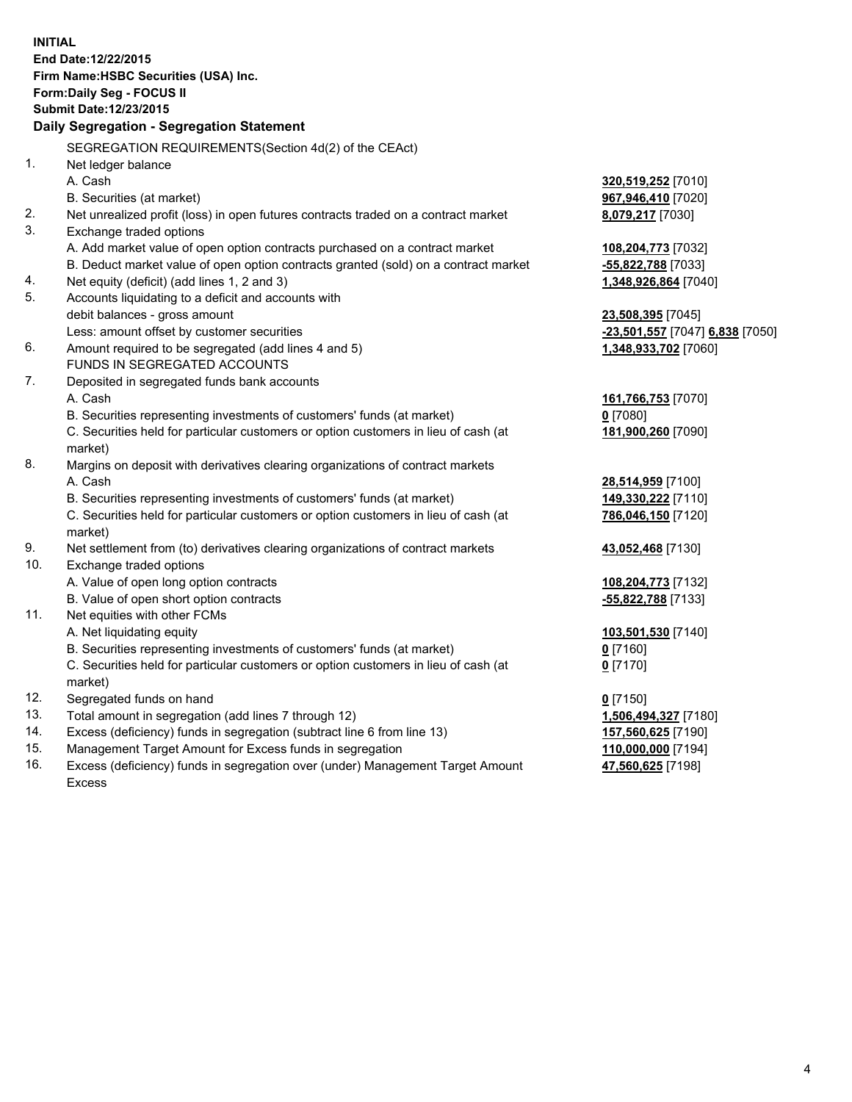**INITIAL End Date:12/22/2015 Firm Name:HSBC Securities (USA) Inc. Form:Daily Seg - FOCUS II Submit Date:12/23/2015 Daily Segregation - Segregation Statement** SEGREGATION REQUIREMENTS(Section 4d(2) of the CEAct) 1. Net ledger balance A. Cash **320,519,252** [7010] B. Securities (at market) **967,946,410** [7020] 2. Net unrealized profit (loss) in open futures contracts traded on a contract market **8,079,217** [7030] 3. Exchange traded options A. Add market value of open option contracts purchased on a contract market **108,204,773** [7032] B. Deduct market value of open option contracts granted (sold) on a contract market **-55,822,788** [7033] 4. Net equity (deficit) (add lines 1, 2 and 3) **1,348,926,864** [7040] 5. Accounts liquidating to a deficit and accounts with debit balances - gross amount **23,508,395** [7045] Less: amount offset by customer securities **-23,501,557** [7047] **6,838** [7050] 6. Amount required to be segregated (add lines 4 and 5) **1,348,933,702** [7060] FUNDS IN SEGREGATED ACCOUNTS 7. Deposited in segregated funds bank accounts A. Cash **161,766,753** [7070] B. Securities representing investments of customers' funds (at market) **0** [7080] C. Securities held for particular customers or option customers in lieu of cash (at market) **181,900,260** [7090] 8. Margins on deposit with derivatives clearing organizations of contract markets A. Cash **28,514,959** [7100] B. Securities representing investments of customers' funds (at market) **149,330,222** [7110] C. Securities held for particular customers or option customers in lieu of cash (at market) **786,046,150** [7120] 9. Net settlement from (to) derivatives clearing organizations of contract markets **43,052,468** [7130] 10. Exchange traded options A. Value of open long option contracts **108,204,773** [7132] B. Value of open short option contracts **-55,822,788** [7133] 11. Net equities with other FCMs A. Net liquidating equity **103,501,530** [7140] B. Securities representing investments of customers' funds (at market) **0** [7160] C. Securities held for particular customers or option customers in lieu of cash (at market) **0** [7170] 12. Segregated funds on hand **0** [7150] 13. Total amount in segregation (add lines 7 through 12) **1,506,494,327** [7180] 14. Excess (deficiency) funds in segregation (subtract line 6 from line 13) **157,560,625** [7190] 15. Management Target Amount for Excess funds in segregation **110,000,000** [7194]

16. Excess (deficiency) funds in segregation over (under) Management Target Amount Excess

**47,560,625** [7198]